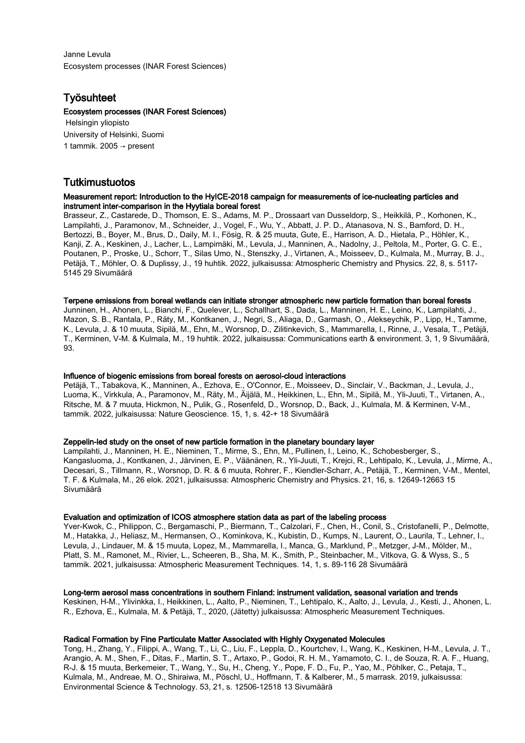Janne Levula Ecosystem processes (INAR Forest Sciences)

## Työsuhteet

## Ecosystem processes (INAR Forest Sciences)

 Helsingin yliopisto University of Helsinki, Suomi 1 tammik. 2005 → present

## Tutkimustuotos

## Measurement report: Introduction to the HyICE-2018 campaign for measurements of ice-nucleating particles and instrument inter-comparison in the Hyytiala boreal forest

Brasseur, Z., Castarede, D., Thomson, E. S., Adams, M. P., Drossaart van Dusseldorp, S., Heikkilä, P., Korhonen, K., Lampilahti, J., Paramonov, M., Schneider, J., Vogel, F., Wu, Y., Abbatt, J. P. D., Atanasova, N. S., Bamford, D. H., Bertozzi, B., Boyer, M., Brus, D., Daily, M. I., Fösig, R. & 25 muuta, Gute, E., Harrison, A. D., Hietala, P., Höhler, K., Kanji, Z. A., Keskinen, J., Lacher, L., Lampimäki, M., Levula, J., Manninen, A., Nadolny, J., Peltola, M., Porter, G. C. E., Poutanen, P., Proske, U., Schorr, T., Silas Umo, N., Stenszky, J., Virtanen, A., Moisseev, D., Kulmala, M., Murray, B. J., Petäjä, T., Möhler, O. & Duplissy, J., 19 huhtik. 2022, julkaisussa: Atmospheric Chemistry and Physics. 22, 8, s. 5117- 5145 29 Sivumäärä

## Terpene emissions from boreal wetlands can initiate stronger atmospheric new particle formation than boreal forests

Junninen, H., Ahonen, L., Bianchi, F., Quelever, L., Schallhart, S., Dada, L., Manninen, H. E., Leino, K., Lampilahti, J., Mazon, S. B., Rantala, P., Räty, M., Kontkanen, J., Negri, S., Aliaga, D., Garmash, O., Alekseychik, P., Lipp, H., Tamme, K., Levula, J. & 10 muuta, Sipilä, M., Ehn, M., Worsnop, D., Zilitinkevich, S., Mammarella, I., Rinne, J., Vesala, T., Petäjä, T., Kerminen, V-M. & Kulmala, M., 19 huhtik. 2022, julkaisussa: Communications earth & environment. 3, 1, 9 Sivumäärä, 93.

## Influence of biogenic emissions from boreal forests on aerosol-cloud interactions

Petäjä, T., Tabakova, K., Manninen, A., Ezhova, E., O'Connor, E., Moisseev, D., Sinclair, V., Backman, J., Levula, J., Luoma, K., Virkkula, A., Paramonov, M., Räty, M., Äijälä, M., Heikkinen, L., Ehn, M., Sipilä, M., Yli-Juuti, T., Virtanen, A., Ritsche, M. & 7 muuta, Hickmon, N., Pulik, G., Rosenfeld, D., Worsnop, D., Back, J., Kulmala, M. & Kerminen, V-M., tammik. 2022, julkaisussa: Nature Geoscience. 15, 1, s. 42-+ 18 Sivumäärä

## Zeppelin-led study on the onset of new particle formation in the planetary boundary layer

Lampilahti, J., Manninen, H. E., Nieminen, T., Mirme, S., Ehn, M., Pullinen, I., Leino, K., Schobesberger, S., Kangasluoma, J., Kontkanen, J., Järvinen, E. P., Väänänen, R., Yli-Juuti, T., Krejci, R., Lehtipalo, K., Levula, J., Mirme, A., Decesari, S., Tillmann, R., Worsnop, D. R. & 6 muuta, Rohrer, F., Kiendler-Scharr, A., Petäjä, T., Kerminen, V-M., Mentel, T. F. & Kulmala, M., 26 elok. 2021, julkaisussa: Atmospheric Chemistry and Physics. 21, 16, s. 12649-12663 15 Sivumäärä

## Evaluation and optimization of ICOS atmosphere station data as part of the labeling process

Yver-Kwok, C., Philippon, C., Bergamaschi, P., Biermann, T., Calzolari, F., Chen, H., Conil, S., Cristofanelli, P., Delmotte, M., Hatakka, J., Heliasz, M., Hermansen, O., Kominkova, K., Kubistin, D., Kumps, N., Laurent, O., Laurila, T., Lehner, I., Levula, J., Lindauer, M. & 15 muuta, Lopez, M., Mammarella, I., Manca, G., Marklund, P., Metzger, J-M., Mölder, M., Platt, S. M., Ramonet, M., Rivier, L., Scheeren, B., Sha, M. K., Smith, P., Steinbacher, M., Vitkova, G. & Wyss, S., 5 tammik. 2021, julkaisussa: Atmospheric Measurement Techniques. 14, 1, s. 89-116 28 Sivumäärä

#### Long-term aerosol mass concentrations in southern Finland: instrument validation, seasonal variation and trends

Keskinen, H-M., Ylivinkka, I., Heikkinen, L., Aalto, P., Nieminen, T., Lehtipalo, K., Aalto, J., Levula, J., Kesti, J., Ahonen, L. R., Ezhova, E., Kulmala, M. & Petäjä, T., 2020, (Jätetty) julkaisussa: Atmospheric Measurement Techniques.

## Radical Formation by Fine Particulate Matter Associated with Highly Oxygenated Molecules

Tong, H., Zhang, Y., Filippi, A., Wang, T., Li, C., Liu, F., Leppla, D., Kourtchev, I., Wang, K., Keskinen, H-M., Levula, J. T., Arangio, A. M., Shen, F., Ditas, F., Martin, S. T., Artaxo, P., Godoi, R. H. M., Yamamoto, C. I., de Souza, R. A. F., Huang, R-J. & 15 muuta, Berkemeier, T., Wang, Y., Su, H., Cheng, Y., Pope, F. D., Fu, P., Yao, M., Pöhlker, C., Petaja, T., Kulmala, M., Andreae, M. O., Shiraiwa, M., Pöschl, U., Hoffmann, T. & Kalberer, M., 5 marrask. 2019, julkaisussa: Environmental Science & Technology. 53, 21, s. 12506-12518 13 Sivumäärä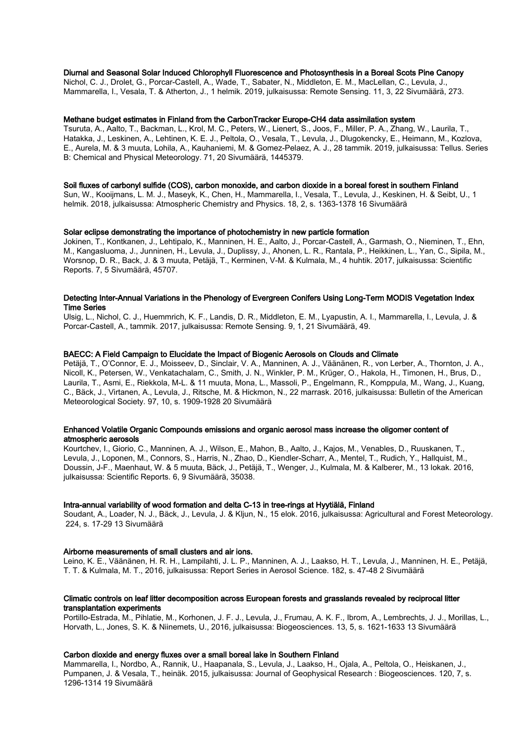## Diurnal and Seasonal Solar Induced Chlorophyll Fluorescence and Photosynthesis in a Boreal Scots Pine Canopy

Nichol, C. J., Drolet, G., Porcar-Castell, A., Wade, T., Sabater, N., Middleton, E. M., MacLellan, C., Levula, J., Mammarella, I., Vesala, T. & Atherton, J., 1 helmik. 2019, julkaisussa: Remote Sensing. 11, 3, 22 Sivumäärä, 273.

#### Methane budget estimates in Finland from the CarbonTracker Europe-CH4 data assimilation system

Tsuruta, A., Aalto, T., Backman, L., Krol, M. C., Peters, W., Lienert, S., Joos, F., Miller, P. A., Zhang, W., Laurila, T., Hatakka, J., Leskinen, A., Lehtinen, K. E. J., Peltola, O., Vesala, T., Levula, J., Dlugokencky, E., Heimann, M., Kozlova, E., Aurela, M. & 3 muuta, Lohila, A., Kauhaniemi, M. & Gomez-Pelaez, A. J., 28 tammik. 2019, julkaisussa: Tellus. Series B: Chemical and Physical Meteorology. 71, 20 Sivumäärä, 1445379.

#### Soil fluxes of carbonyl sulfide (COS), carbon monoxide, and carbon dioxide in a boreal forest in southern Finland

Sun, W., Kooijmans, L. M. J., Maseyk, K., Chen, H., Mammarella, I., Vesala, T., Levula, J., Keskinen, H. & Seibt, U., 1 helmik. 2018, julkaisussa: Atmospheric Chemistry and Physics. 18, 2, s. 1363-1378 16 Sivumäärä

#### Solar eclipse demonstrating the importance of photochemistry in new particle formation

Jokinen, T., Kontkanen, J., Lehtipalo, K., Manninen, H. E., Aalto, J., Porcar-Castell, A., Garmash, O., Nieminen, T., Ehn, M., Kangasluoma, J., Junninen, H., Levula, J., Duplissy, J., Ahonen, L. R., Rantala, P., Heikkinen, L., Yan, C., Sipila, M., Worsnop, D. R., Back, J. & 3 muuta, Petäjä, T., Kerminen, V-M. & Kulmala, M., 4 huhtik. 2017, julkaisussa: Scientific Reports. 7, 5 Sivumäärä, 45707.

## Detecting Inter-Annual Variations in the Phenology of Evergreen Conifers Using Long-Term MODIS Vegetation Index Time Series

Ulsig, L., Nichol, C. J., Huemmrich, K. F., Landis, D. R., Middleton, E. M., Lyapustin, A. I., Mammarella, I., Levula, J. & Porcar-Castell, A., tammik. 2017, julkaisussa: Remote Sensing. 9, 1, 21 Sivumäärä, 49.

### BAECC: A Field Campaign to Elucidate the Impact of Biogenic Aerosols on Clouds and Climate

Petäjä, T., O'Connor, E. J., Moisseev, D., Sinclair, V. A., Manninen, A. J., Väänänen, R., von Lerber, A., Thornton, J. A., Nicoll, K., Petersen, W., Venkatachalam, C., Smith, J. N., Winkler, P. M., Krüger, O., Hakola, H., Timonen, H., Brus, D., Laurila, T., Asmi, E., Riekkola, M-L. & 11 muuta, Mona, L., Massoli, P., Engelmann, R., Komppula, M., Wang, J., Kuang, C., Bäck, J., Virtanen, A., Levula, J., Ritsche, M. & Hickmon, N., 22 marrask. 2016, julkaisussa: Bulletin of the American Meteorological Society. 97, 10, s. 1909-1928 20 Sivumäärä

#### Enhanced Volatile Organic Compounds emissions and organic aerosol mass increase the oligomer content of atmospheric aerosols

Kourtchev, I., Giorio, C., Manninen, A. J., Wilson, E., Mahon, B., Aalto, J., Kajos, M., Venables, D., Ruuskanen, T., Levula, J., Loponen, M., Connors, S., Harris, N., Zhao, D., Kiendler-Scharr, A., Mentel, T., Rudich, Y., Hallquist, M., Doussin, J-F., Maenhaut, W. & 5 muuta, Bäck, J., Petäjä, T., Wenger, J., Kulmala, M. & Kalberer, M., 13 lokak. 2016, julkaisussa: Scientific Reports. 6, 9 Sivumäärä, 35038.

#### Intra-annual variability of wood formation and delta C-13 in tree-rings at Hyytiälä, Finland

Soudant, A., Loader, N. J., Bäck, J., Levula, J. & Kljun, N., 15 elok. 2016, julkaisussa: Agricultural and Forest Meteorology. 224, s. 17-29 13 Sivumäärä

#### Airborne measurements of small clusters and air ions.

Leino, K. E., Väänänen, H. R. H., Lampilahti, J. L. P., Manninen, A. J., Laakso, H. T., Levula, J., Manninen, H. E., Petäjä, T. T. & Kulmala, M. T., 2016, julkaisussa: Report Series in Aerosol Science. 182, s. 47-48 2 Sivumäärä

## Climatic controls on leaf litter decomposition across European forests and grasslands revealed by reciprocal litter transplantation experiments

Portillo-Estrada, M., Pihlatie, M., Korhonen, J. F. J., Levula, J., Frumau, A. K. F., Ibrom, A., Lembrechts, J. J., Morillas, L., Horvath, L., Jones, S. K. & Niinemets, U., 2016, julkaisussa: Biogeosciences. 13, 5, s. 1621-1633 13 Sivumäärä

### Carbon dioxide and energy fluxes over a small boreal lake in Southern Finland

Mammarella, I., Nordbo, A., Rannik, U., Haapanala, S., Levula, J., Laakso, H., Ojala, A., Peltola, O., Heiskanen, J., Pumpanen, J. & Vesala, T., heinäk. 2015, julkaisussa: Journal of Geophysical Research : Biogeosciences. 120, 7, s. 1296-1314 19 Sivumäärä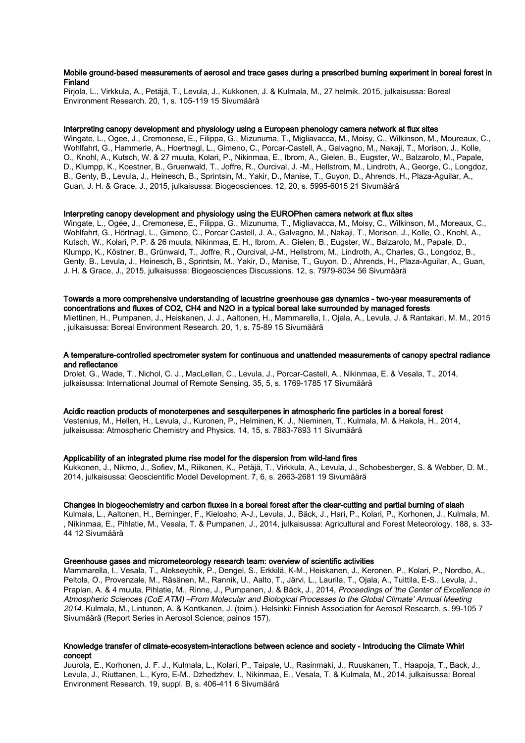## Mobile ground-based measurements of aerosol and trace gases during a prescribed burning experiment in boreal forest in **Finland**

Pirjola, L., Virkkula, A., Petäjä, T., Levula, J., Kukkonen, J. & Kulmala, M., 27 helmik. 2015, julkaisussa: Boreal Environment Research. 20, 1, s. 105-119 15 Sivumäärä

#### Interpreting canopy development and physiology using a European phenology camera network at flux sites

Wingate, L., Ogee, J., Cremonese, E., Filippa, G., Mizunuma, T., Migliavacca, M., Moisy, C., Wilkinson, M., Moureaux, C., Wohlfahrt, G., Hammerle, A., Hoertnagl, L., Gimeno, C., Porcar-Castell, A., Galvagno, M., Nakaji, T., Morison, J., Kolle, O., Knohl, A., Kutsch, W. & 27 muuta, Kolari, P., Nikinmaa, E., Ibrom, A., Gielen, B., Eugster, W., Balzarolo, M., Papale, D., Klumpp, K., Koestner, B., Gruenwald, T., Joffre, R., Ourcival, J. -M., Hellstrom, M., Lindroth, A., George, C., Longdoz, B., Genty, B., Levula, J., Heinesch, B., Sprintsin, M., Yakir, D., Manise, T., Guyon, D., Ahrends, H., Plaza-Aguilar, A., Guan, J. H. & Grace, J., 2015, julkaisussa: Biogeosciences. 12, 20, s. 5995-6015 21 Sivumäärä

## Interpreting canopy development and physiology using the EUROPhen camera network at flux sites

Wingate, L., Ogée, J., Cremonese, E., Filippa, G., Mizunuma, T., Migliavacca, M., Moisy, C., Wilkinson, M., Moreaux, C., Wohlfahrt, G., Hörtnagl, L., Gimeno, C., Porcar Castell, J. A., Galvagno, M., Nakaji, T., Morison, J., Kolle, O., Knohl, A., Kutsch, W., Kolari, P. P. & 26 muuta, Nikinmaa, E. H., Ibrom, A., Gielen, B., Eugster, W., Balzarolo, M., Papale, D., Klumpp, K., Köstner, B., Grünwald, T., Joffre, R., Ourcival, J-M., Hellstrom, M., Lindroth, A., Charles, G., Longdoz, B., Genty, B., Levula, J., Heinesch, B., Sprintsin, M., Yakir, D., Manise, T., Guyon, D., Ahrends, H., Plaza-Aguilar, A., Guan, J. H. & Grace, J., 2015, julkaisussa: Biogeosciences Discussions. 12, s. 7979-8034 56 Sivumäärä

## Towards a more comprehensive understanding of lacustrine greenhouse gas dynamics - two-year measurements of concentrations and fluxes of CO2, CH4 and N2O in a typical boreal lake surrounded by managed forests

Miettinen, H., Pumpanen, J., Heiskanen, J. J., Aaltonen, H., Mammarella, I., Ojala, A., Levula, J. & Rantakari, M. M., 2015 , julkaisussa: Boreal Environment Research. 20, 1, s. 75-89 15 Sivumäärä

#### A temperature-controlled spectrometer system for continuous and unattended measurements of canopy spectral radiance and reflectance

Drolet, G., Wade, T., Nichol, C. J., MacLellan, C., Levula, J., Porcar-Castell, A., Nikinmaa, E. & Vesala, T., 2014, julkaisussa: International Journal of Remote Sensing. 35, 5, s. 1769-1785 17 Sivumäärä

#### Acidic reaction products of monoterpenes and sesquiterpenes in atmospheric fine particles in a boreal forest

Vestenius, M., Hellen, H., Levula, J., Kuronen, P., Helminen, K. J., Nieminen, T., Kulmala, M. & Hakola, H., 2014, julkaisussa: Atmospheric Chemistry and Physics. 14, 15, s. 7883-7893 11 Sivumäärä

#### Applicability of an integrated plume rise model for the dispersion from wild-land fires

Kukkonen, J., Nikmo, J., Sofiev, M., Riikonen, K., Petäjä, T., Virkkula, A., Levula, J., Schobesberger, S. & Webber, D. M., 2014, julkaisussa: Geoscientific Model Development. 7, 6, s. 2663-2681 19 Sivumäärä

#### Changes in biogeochemistry and carbon fluxes in a boreal forest after the clear-cutting and partial burning of slash

Kulmala, L., Aaltonen, H., Berninger, F., Kieloaho, A-J., Levula, J., Bäck, J., Hari, P., Kolari, P., Korhonen, J., Kulmala, M. , Nikinmaa, E., Pihlatie, M., Vesala, T. & Pumpanen, J., 2014, julkaisussa: Agricultural and Forest Meteorology. 188, s. 33- 44 12 Sivumäärä

#### Greenhouse gases and micrometeorology research team: overview of scientific activities

Mammarella, I., Vesala, T., Alekseychik, P., Dengel, S., Erkkilä, K-M., Heiskanen, J., Keronen, P., Kolari, P., Nordbo, A., Peltola, O., Provenzale, M., Räsänen, M., Rannik, U., Aalto, T., Järvi, L., Laurila, T., Ojala, A., Tuittila, E-S., Levula, J., Praplan, A. & 4 muuta, Pihlatie, M., Rinne, J., Pumpanen, J. & Bäck, J., 2014, Proceedings of 'the Center of Excellence in Atmospheric Sciences (CoE ATM) –From Molecular and Biological Processes to the Global Climate' Annual Meeting 2014. Kulmala, M., Lintunen, A. & Kontkanen, J. (toim.). Helsinki: Finnish Association for Aerosol Research, s. 99-105 7 Sivumäärä (Report Series in Aerosol Science; painos 157).

#### Knowledge transfer of climate-ecosystem-interactions between science and society - Introducing the Climate Whirl concept

Juurola, E., Korhonen, J. F. J., Kulmala, L., Kolari, P., Taipale, U., Rasinmaki, J., Ruuskanen, T., Haapoja, T., Back, J., Levula, J., Riuttanen, L., Kyro, E-M., Dzhedzhev, I., Nikinmaa, E., Vesala, T. & Kulmala, M., 2014, julkaisussa: Boreal Environment Research. 19, suppl. B, s. 406-411 6 Sivumäärä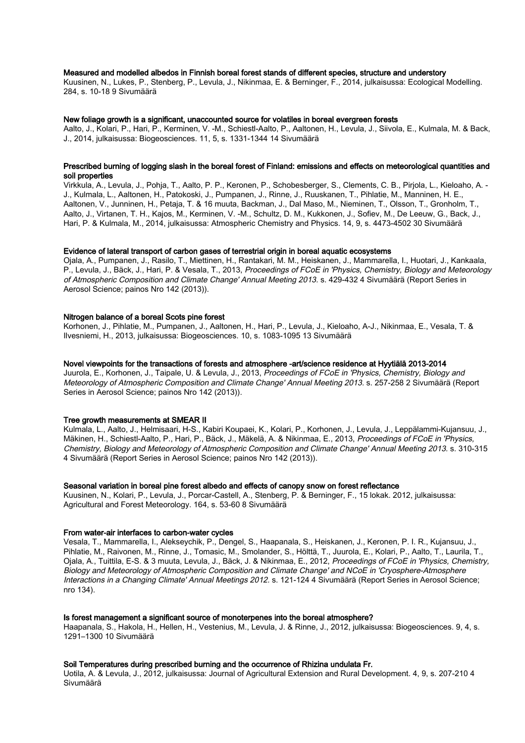#### Measured and modelled albedos in Finnish boreal forest stands of different species, structure and understory

Kuusinen, N., Lukes, P., Stenberg, P., Levula, J., Nikinmaa, E. & Berninger, F., 2014, julkaisussa: Ecological Modelling. 284, s. 10-18 9 Sivumäärä

#### New foliage growth is a significant, unaccounted source for volatiles in boreal evergreen forests

Aalto, J., Kolari, P., Hari, P., Kerminen, V. -M., Schiestl-Aalto, P., Aaltonen, H., Levula, J., Siivola, E., Kulmala, M. & Back, J., 2014, julkaisussa: Biogeosciences. 11, 5, s. 1331-1344 14 Sivumäärä

## Prescribed burning of logging slash in the boreal forest of Finland: emissions and effects on meteorological quantities and soil properties

Virkkula, A., Levula, J., Pohja, T., Aalto, P. P., Keronen, P., Schobesberger, S., Clements, C. B., Pirjola, L., Kieloaho, A. - J., Kulmala, L., Aaltonen, H., Patokoski, J., Pumpanen, J., Rinne, J., Ruuskanen, T., Pihlatie, M., Manninen, H. E., Aaltonen, V., Junninen, H., Petaja, T. & 16 muuta, Backman, J., Dal Maso, M., Nieminen, T., Olsson, T., Gronholm, T., Aalto, J., Virtanen, T. H., Kajos, M., Kerminen, V. -M., Schultz, D. M., Kukkonen, J., Sofiev, M., De Leeuw, G., Back, J., Hari, P. & Kulmala, M., 2014, julkaisussa: Atmospheric Chemistry and Physics. 14, 9, s. 4473-4502 30 Sivumäärä

## Evidence of lateral transport of carbon gases of terrestrial origin in boreal aquatic ecosystems

Ojala, A., Pumpanen, J., Rasilo, T., Miettinen, H., Rantakari, M. M., Heiskanen, J., Mammarella, I., Huotari, J., Kankaala, P., Levula, J., Bäck, J., Hari, P. & Vesala, T., 2013, Proceedings of FCoE in 'Physics, Chemistry, Biology and Meteorology of Atmospheric Composition and Climate Change' Annual Meeting 2013. s. 429-432 4 Sivumäärä (Report Series in Aerosol Science; painos Nro 142 (2013)).

#### Nitrogen balance of a boreal Scots pine forest

Korhonen, J., Pihlatie, M., Pumpanen, J., Aaltonen, H., Hari, P., Levula, J., Kieloaho, A-J., Nikinmaa, E., Vesala, T. & Ilvesniemi, H., 2013, julkaisussa: Biogeosciences. 10, s. 1083-1095 13 Sivumäärä

#### Novel viewpoints for the transactions of forests and atmosphere -art/science residence at Hyytiälä 2013-2014

Juurola, E., Korhonen, J., Taipale, U. & Levula, J., 2013, Proceedings of FCoE in 'Physics, Chemistry, Biology and Meteorology of Atmospheric Composition and Climate Change' Annual Meeting 2013. s. 257-258 2 Sivumäärä (Report Series in Aerosol Science; painos Nro 142 (2013)).

#### Tree growth measurements at SMEAR II

Kulmala, L., Aalto, J., Helmisaari, H-S., Kabiri Koupaei, K., Kolari, P., Korhonen, J., Levula, J., Leppälammi-Kujansuu, J., Mäkinen, H., Schiestl-Aalto, P., Hari, P., Bäck, J., Mäkelä, A. & Nikinmaa, E., 2013, Proceedings of FCoE in 'Physics, Chemistry, Biology and Meteorology of Atmospheric Composition and Climate Change' Annual Meeting 2013. s. 310-315 4 Sivumäärä (Report Series in Aerosol Science; painos Nro 142 (2013)).

#### Seasonal variation in boreal pine forest albedo and effects of canopy snow on forest reflectance

Kuusinen, N., Kolari, P., Levula, J., Porcar-Castell, A., Stenberg, P. & Berninger, F., 15 lokak. 2012, julkaisussa: Agricultural and Forest Meteorology. 164, s. 53-60 8 Sivumäärä

#### From water-air interfaces to carbon-water cycles

Vesala, T., Mammarella, I., Alekseychik, P., Dengel, S., Haapanala, S., Heiskanen, J., Keronen, P. I. R., Kujansuu, J., Pihlatie, M., Raivonen, M., Rinne, J., Tomasic, M., Smolander, S., Hölttä, T., Juurola, E., Kolari, P., Aalto, T., Laurila, T., Ojala, A., Tuittila, E-S. & 3 muuta, Levula, J., Bäck, J. & Nikinmaa, E., 2012, Proceedings of FCoE in 'Physics, Chemistry, Biology and Meteorology of Atmospheric Composition and Climate Change' and NCoE in 'Cryosphere-Atmosphere Interactions in a Changing Climate' Annual Meetings 2012. s. 121-124 4 Sivumäärä (Report Series in Aerosol Science; nro 134).

#### Is forest management a significant source of monoterpenes into the boreal atmosphere?

Haapanala, S., Hakola, H., Hellen, H., Vestenius, M., Levula, J. & Rinne, J., 2012, julkaisussa: Biogeosciences. 9, 4, s. 1291–1300 10 Sivumäärä

## Soil Temperatures during prescribed burning and the occurrence of Rhizina undulata Fr.

Uotila, A. & Levula, J., 2012, julkaisussa: Journal of Agricultural Extension and Rural Development. 4, 9, s. 207-210 4 Sivumäärä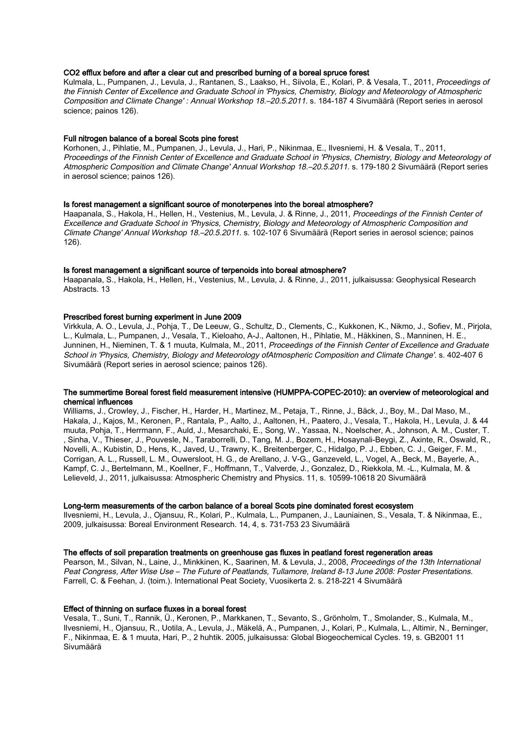## CO2 efflux before and after a clear cut and prescribed burning of a boreal spruce forest

Kulmala, L., Pumpanen, J., Levula, J., Rantanen, S., Laakso, H., Siivola, E., Kolari, P. & Vesala, T., 2011, Proceedings of the Finnish Center of Excellence and Graduate School in 'Physics, Chemistry, Biology and Meteorology of Atmospheric Composition and Climate Change' : Annual Workshop 18.–20.5.2011. s. 184-187 4 Sivumäärä (Report series in aerosol science; painos 126).

## Full nitrogen balance of a boreal Scots pine forest

Korhonen, J., Pihlatie, M., Pumpanen, J., Levula, J., Hari, P., Nikinmaa, E., Ilvesniemi, H. & Vesala, T., 2011, Proceedings of the Finnish Center of Excellence and Graduate School in 'Physics, Chemistry, Biology and Meteorology of Atmospheric Composition and Climate Change' Annual Workshop 18.–20.5.2011. s. 179-180 2 Sivumäärä (Report series in aerosol science; painos 126).

## Is forest management a significant source of monoterpenes into the boreal atmosphere?

Haapanala, S., Hakola, H., Hellen, H., Vestenius, M., Levula, J. & Rinne, J., 2011, Proceedings of the Finnish Center of Excellence and Graduate School in 'Physics, Chemistry, Biology and Meteorology of Atmospheric Composition and Climate Change' Annual Workshop 18.–20.5.2011. s. 102-107 6 Sivumäärä (Report series in aerosol science; painos 126).

#### Is forest management a significant source of terpenoids into boreal atmosphere?

Haapanala, S., Hakola, H., Hellen, H., Vestenius, M., Levula, J. & Rinne, J., 2011, julkaisussa: Geophysical Research Abstracts. 13

#### Prescribed forest burning experiment in June 2009

Virkkula, A. O., Levula, J., Pohja, T., De Leeuw, G., Schultz, D., Clements, C., Kukkonen, K., Nikmo, J., Sofiev, M., Pirjola, L., Kulmala, L., Pumpanen, J., Vesala, T., Kieloaho, A-J., Aaltonen, H., Pihlatie, M., Häkkinen, S., Manninen, H. E., Junninen, H., Nieminen, T. & 1 muuta, Kulmala, M., 2011, Proceedings of the Finnish Center of Excellence and Graduate School in 'Physics, Chemistry, Biology and Meteorology ofAtmospheric Composition and Climate Change'. s. 402-407 6 Sivumäärä (Report series in aerosol science; painos 126).

## The summertime Boreal forest field measurement intensive (HUMPPA-COPEC-2010): an overview of meteorological and chemical influences

Williams, J., Crowley, J., Fischer, H., Harder, H., Martinez, M., Petaja, T., Rinne, J., Bäck, J., Boy, M., Dal Maso, M., Hakala, J., Kajos, M., Keronen, P., Rantala, P., Aalto, J., Aaltonen, H., Paatero, J., Vesala, T., Hakola, H., Levula, J. & 44 muuta, Pohja, T., Herrmann, F., Auld, J., Mesarchaki, E., Song, W., Yassaa, N., Noelscher, A., Johnson, A. M., Custer, T. , Sinha, V., Thieser, J., Pouvesle, N., Taraborrelli, D., Tang, M. J., Bozem, H., Hosaynali-Beygi, Z., Axinte, R., Oswald, R., Novelli, A., Kubistin, D., Hens, K., Javed, U., Trawny, K., Breitenberger, C., Hidalgo, P. J., Ebben, C. J., Geiger, F. M., Corrigan, A. L., Russell, L. M., Ouwersloot, H. G., de Arellano, J. V-G., Ganzeveld, L., Vogel, A., Beck, M., Bayerle, A., Kampf, C. J., Bertelmann, M., Koellner, F., Hoffmann, T., Valverde, J., Gonzalez, D., Riekkola, M. -L., Kulmala, M. & Lelieveld, J., 2011, julkaisussa: Atmospheric Chemistry and Physics. 11, s. 10599-10618 20 Sivumäärä

#### Long-term measurements of the carbon balance of a boreal Scots pine dominated forest ecosystem

Ilvesniemi, H., Levula, J., Ojansuu, R., Kolari, P., Kulmala, L., Pumpanen, J., Launiainen, S., Vesala, T. & Nikinmaa, E., 2009, julkaisussa: Boreal Environment Research. 14, 4, s. 731-753 23 Sivumäärä

#### The effects of soil preparation treatments on greenhouse gas fluxes in peatland forest regeneration areas

Pearson, M., Silvan, N., Laine, J., Minkkinen, K., Saarinen, M. & Levula, J., 2008, Proceedings of the 13th International Peat Congress, After Wise Use – The Future of Peatlands, Tullamore, Ireland 8-13 June 2008: Poster Presentations. Farrell, C. & Feehan, J. (toim.). International Peat Society, Vuosikerta 2. s. 218-221 4 Sivumäärä

## Effect of thinning on surface fluxes in a boreal forest

Vesala, T., Suni, T., Rannik, Ü., Keronen, P., Markkanen, T., Sevanto, S., Grönholm, T., Smolander, S., Kulmala, M., Ilvesniemi, H., Ojansuu, R., Uotila, A., Levula, J., Mäkelä, A., Pumpanen, J., Kolari, P., Kulmala, L., Altimir, N., Berninger, F., Nikinmaa, E. & 1 muuta, Hari, P., 2 huhtik. 2005, julkaisussa: Global Biogeochemical Cycles. 19, s. GB2001 11 Sivumäärä